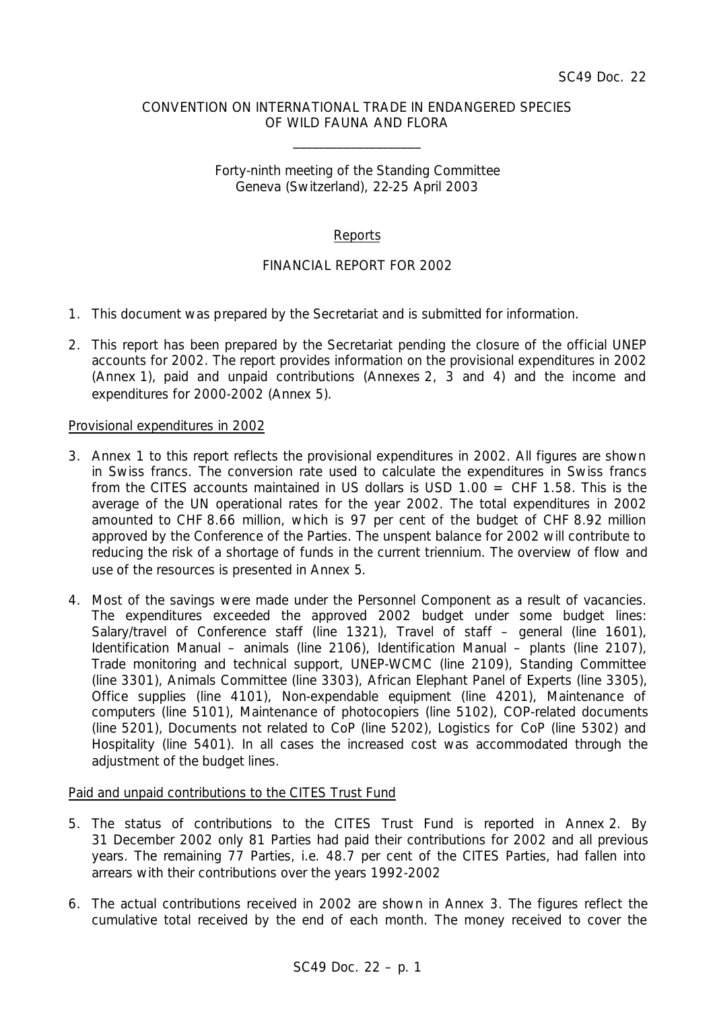### CONVENTION ON INTERNATIONAL TRADE IN ENDANGERED SPECIES OF WILD FAUNA AND FLORA

\_\_\_\_\_\_\_\_\_\_\_\_\_\_\_\_\_\_\_\_

## Forty-ninth meeting of the Standing Committee Geneva (Switzerland), 22-25 April 2003

# Reports

# FINANCIAL REPORT FOR 2002

- 1. This document was prepared by the Secretariat and is submitted for information.
- 2. This report has been prepared by the Secretariat pending the closure of the official UNEP accounts for 2002. The report provides information on the provisional expenditures in 2002 (Annex 1), paid and unpaid contributions (Annexes 2, 3 and 4) and the income and expenditures for 2000-2002 (Annex 5).

#### Provisional expenditures in 2002

- 3. Annex 1 to this report reflects the provisional expenditures in 2002. All figures are shown in Swiss francs. The conversion rate used to calculate the expenditures in Swiss francs from the CITES accounts maintained in US dollars is USD  $1.00 =$  CHF 1.58. This is the average of the UN operational rates for the year 2002. The total expenditures in 2002 amounted to CHF 8.66 million, which is 97 per cent of the budget of CHF 8.92 million approved by the Conference of the Parties. The unspent balance for 2002 will contribute to reducing the risk of a shortage of funds in the current triennium. The overview of flow and use of the resources is presented in Annex 5.
- 4. Most of the savings were made under the Personnel Component as a result of vacancies. The expenditures exceeded the approved 2002 budget under some budget lines: Salary/travel of Conference staff (line 1321), Travel of staff – general (line 1601), Identification Manual – animals (line 2106), Identification Manual – plants (line 2107), Trade monitoring and technical support, UNEP-WCMC (line 2109), Standing Committee (line 3301), Animals Committee (line 3303), African Elephant Panel of Experts (line 3305), Office supplies (line 4101), Non-expendable equipment (line 4201), Maintenance of computers (line 5101), Maintenance of photocopiers (line 5102), COP-related documents (line 5201), Documents not related to CoP (line 5202), Logistics for CoP (line 5302) and Hospitality (line 5401). In all cases the increased cost was accommodated through the adjustment of the budget lines.

## Paid and unpaid contributions to the CITES Trust Fund

- 5. The status of contributions to the CITES Trust Fund is reported in Annex 2. By 31 December 2002 only 81 Parties had paid their contributions for 2002 and all previous years. The remaining 77 Parties, i.e. 48.7 per cent of the CITES Parties, had fallen into arrears with their contributions over the years 1992-2002
- 6. The actual contributions received in 2002 are shown in Annex 3. The figures reflect the cumulative total received by the end of each month. The money received to cover the